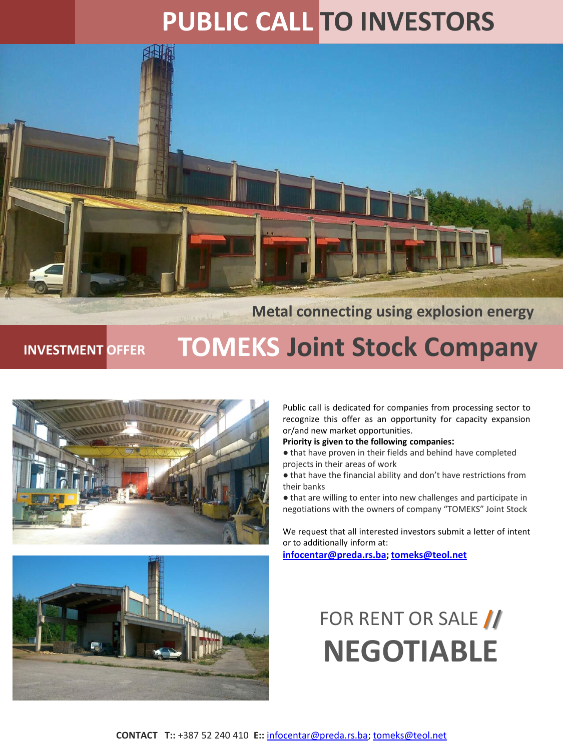### **PUBLIC CALL TO INVESTORS**



#### **Metal connecting using explosion energy**

## **INVESTMENT OFFER TOMEKS Joint Stock Company**





Public call is dedicated for companies from processing sector to recognize this offer as an opportunity for capacity expansion or/and new market opportunities.

#### **Priority is given to the following companies:**

● that have proven in their fields and behind have completed projects in their areas of work

● that have the financial ability and don't have restrictions from their banks

● that are willing to enter into new challenges and participate in negotiations with the owners of company "TOMEKS" Joint Stock

We request that all interested investors submit a letter of intent or to additionally inform at:

**[infocentar@preda.rs.ba;](mailto:infocentar@preda.rs.ba) [tomeks@teol.net](mailto:tomeks@teol.net)**

### FOR RENT OR SALE **// NEGOTIABLE**